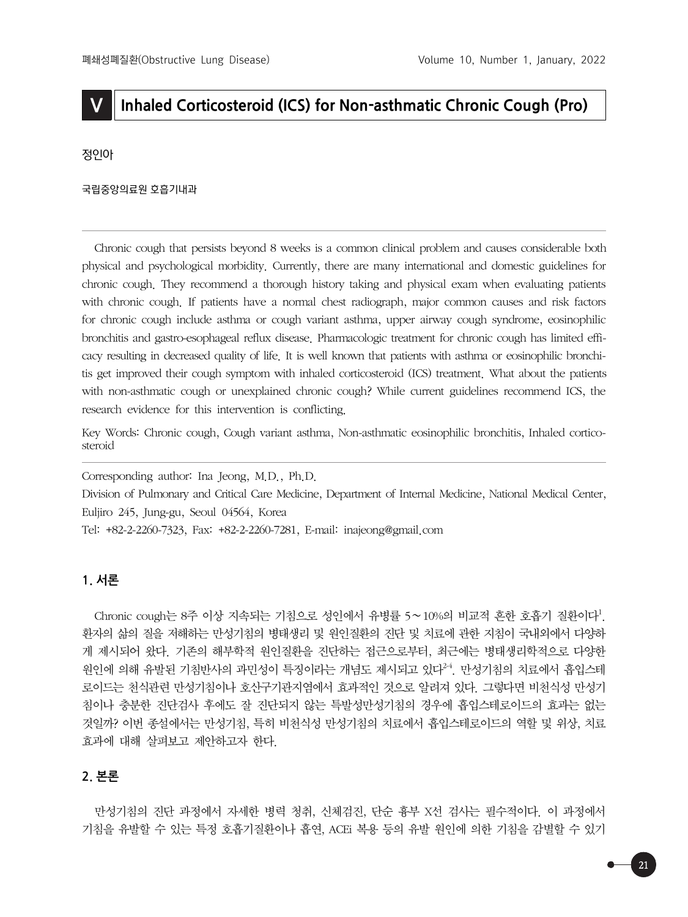# **V Inhaled Corticosteroid (ICS) for Non-asthmatic Chronic Cough (Pro)**

정인아

국립중앙의료원 호흡기내과

Chronic cough that persists beyond 8 weeks is a common clinical problem and causes considerable both physical and psychological morbidity. Currently, there are many international and domestic guidelines for chronic cough. They recommend a thorough history taking and physical exam when evaluating patients with chronic cough. If patients have a normal chest radiograph, major common causes and risk factors for chronic cough include asthma or cough variant asthma, upper airway cough syndrome, eosinophilic bronchitis and gastro-esophageal reflux disease. Pharmacologic treatment for chronic cough has limited efficacy resulting in decreased quality of life. It is well known that patients with asthma or eosinophilic bronchitis get improved their cough symptom with inhaled corticosteroid (ICS) treatment. What about the patients with non-asthmatic cough or unexplained chronic cough? While current guidelines recommend ICS, the research evidence for this intervention is conflicting.

Key Words: Chronic cough, Cough variant asthma, Non-asthmatic eosinophilic bronchitis, Inhaled corticosteroid

Corresponding author: Ina Jeong, M.D., Ph.D.

Division of Pulmonary and Critical Care Medicine, Department of Internal Medicine, National Medical Center, Euljiro 245, Jung-gu, Seoul 04564, Korea

Tel: +82-2-2260-7323, Fax: +82-2-2260-7281, E-mail: inajeong@gmail.com

# **1. 서론**

Chronic cough는 8주 이상 지속되는 기침으로 성인에서 유병률 5∼10%의 비교적 흔한 호흡기 질환이다<sup>1</sup>. 환자의 삶의 질을 저해하는 만성기침의 병태생리 및 원인질환의 진단 및 치료에 관한 지침이 국내외에서 다양하 게 제시되어 왔다. 기존의 해부학적 원인질환을 진단하는 접근으로부터, 최근에는 병태생리학적으로 다양한 원인에 의해 유발된 기침반사의 과민성이 특징이라는 개념도 제시되고 있다<sup>24</sup>. 만성기침의 치료에서 흡입스테 로이드는 천식관련 만성기침이나 호산구기관지염에서 효과적인 것으로 알려져 있다. 그렇다면 비천식성 만성기 침이나 충분한 진단검사 후에도 잘 진단되지 않는 특발성만성기침의 경우에 흡입스테로이드의 효과는 없는 것일까? 이번 종설에서는 만성기침, 특히 비천식성 만성기침의 치료에서 흡입스테로이드의 역할 및 위상, 치료 효과에 대해 살펴보고 제안하고자 한다.

# **2. 본론**

만성기침의 진단 과정에서 자세한 병력 청취, 신체검진, 단순 흉부 X선 검사는 필수적이다. 이 과정에서 기침을 유발할 수 있는 특정 호흡기질환이나 흡연, ACEi 복용 등의 유발 원인에 의한 기침을 감별할 수 있기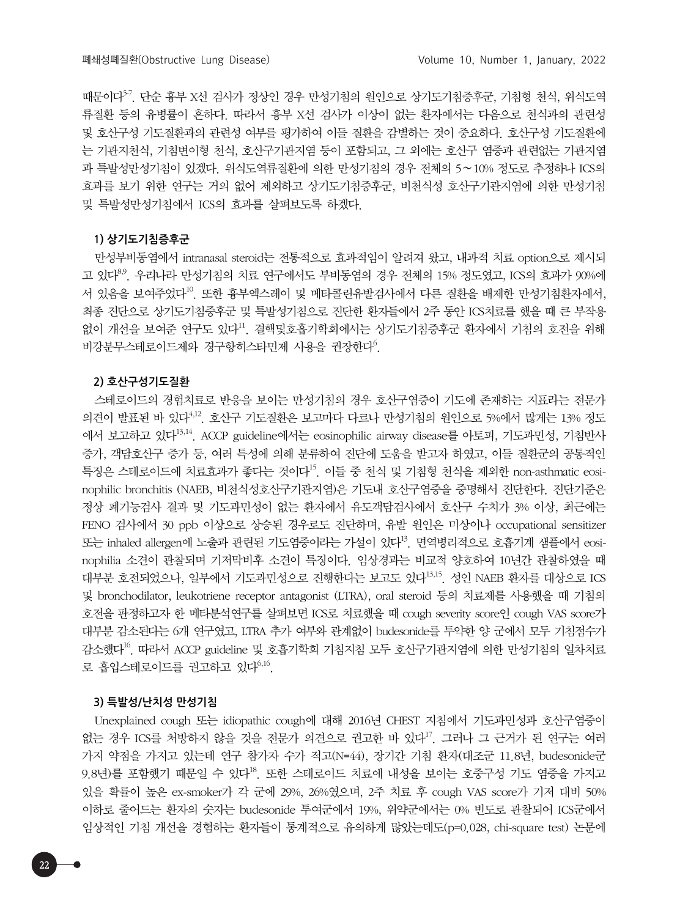때문이다<sup>57</sup>. 단순 흉부 X선 검사가 정상인 경우 만성기침의 원인으로 상기도기침증후군, 기침형 천식, 위식도역 류질환 등의 유병률이 흔하다. 따라서 흉부 X선 검사가 이상이 없는 환자에서는 다음으로 천식과의 관련성 및 호산구성 기도질환과의 관련성 여부를 평가하여 이들 질환을 감별하는 것이 중요하다. 호산구성 기도질환에 는 기관지천식, 기침변이형 천식, 호산구기관지염 등이 포함되고, 그 외에는 호산구 염증과 관련없는 기관지염 과 특발성만성기침이 있겠다. 위식도역류질환에 의한 만성기침의 경우 전체의 5∼10% 정도로 추정하나 ICS의 효과를 보기 위한 연구는 거의 없어 제외하고 상기도기침증후군, 비천식성 호산구기관지염에 의한 만성기침 및 특발성만성기침에서 ICS의 효과를 살펴보도록 하겠다.

### **1) 상기도기침증후군**

만성부비동염에서 intranasal steroid는 전통적으로 효과적임이 알려져 왔고, 내과적 치료 option으로 제시되 고 있다<sup>8.9</sup>. 우리나라 만성기침의 치료 연구에서도 부비동염의 경우 전체의 15% 정도였고, ICS의 효과가 90%에 서 있음을 보여주었다<sup>10</sup>. 또한 흉부엑스레이 및 메타콜린유발검사에서 다른 질환을 배제한 만성기침환자에서, 최종 진단으로 상기도기침증후군 및 특발성기침으로 진단한 환자들에서 2주 동안 ICS치료를 했을 때 큰 부작용 없이 개선을 보여준 연구도 있다<sup>11</sup>. 결핵및호흡기학회에서는 상기도기침증후군 환자에서 기침의 호전을 위해 비강분무스테로이드제와 경구항히스타민제 사용을 권장한다<sup>6</sup>.

#### **2) 호산구성기도질환**

스테로이드의 경험치료로 반응을 보이는 만성기침의 경우 호산구염증이 기도에 존재하는 지표라는 전문가 의견이 발표된 바 있다4,12. 호산구 기도질환은 보고마다 다르나 만성기침의 원인으로 5%에서 많게는 13% 정도 에서 보고하고 있다13,14. ACCP guideline에서는 eosinophilic airway disease를 아토피, 기도과민성, 기침반사 증가, 객담호산구 증가 등, 여러 특성에 의해 분류하여 진단에 도움을 받고자 하였고, 이들 질환군의 공통적인 특징은 스테로이드에 치료효과가 좋다는 것이다15. 이들 중 천식 및 기침형 천식을 제외한 non-asthmatic eosinophilic bronchitis (NAEB, 비천식성호산구기관지염)은 기도내 호산구염증을 증명해서 진단한다. 진단기준은 정상 폐기능검사 결과 및 기도과민성이 없는 환자에서 유도객담검사에서 호산구 수치가 3% 이상, 최근에는 FENO 검사에서 30 ppb 이상으로 상승된 경우로도 진단하며, 유발 원인은 미상이나 occupational sensitizer 또는 inhaled allergen에 노출과 관련된 기도염증이라는 가설이 있다<sup>13</sup>. 면역병리적으로 호흡기계 샘플에서 eosinophilia 소견이 관찰되며 기저막비후 소견이 특징이다. 임상경과는 비교적 양호하여 10년간 관찰하였을 때 대부분 호전되었으나, 일부에서 기도과민성으로 진행한다는 보고도 있다<sup>13,15</sup>. 성인 NAEB 환자를 대상으로 ICS 및 bronchodilator, leukotriene receptor antagonist (LTRA), oral steroid 등의 치료제를 사용했을 때 기침의 호전을 판정하고자 한 메타분석연구를 살펴보면 ICS로 치료했을 때 cough severity score인 cough VAS score가 대부분 감소된다는 6개 연구였고, LTRA 추가 여부와 관계없이 budesonide를 투약한 양 군에서 모두 기침점수가 감소했다16. 따라서 ACCP guideline 및 호흡기학회 기침지침 모두 호산구기관지염에 의한 만성기침의 일차치료 로 흡입스테로이드를 권고하고 있다<sup>6,16</sup>.

## **3) 특발성/난치성 만성기침**

Unexplained cough 또는 idiopathic cough에 대해 2016년 CHEST 지침에서 기도과민성과 호산구염증이 없는 경우 ICS를 처방하지 않을 것을 전문가 의견으로 권고한 바 있다<sup>17</sup>. 그러나 그 근거가 된 연구는 여러 가지 약점을 가지고 있는데 연구 참가자 수가 적고(N=44), 장기간 기침 환자(대조군 11.8년, budesonide군 9.8년)를 포함했기 때문일 수 있다<sup>18</sup>. 또한 스테로이드 치료에 내성을 보이는 호중구성 기도 염증을 가지고 있을 확률이 높은 ex-smoker가 각 군에 29%, 26%였으며, 2주 치료 후 cough VAS score가 기저 대비 50% 이하로 줄어드는 환자의 숫자는 budesonide 투여군에서 19%, 위약군에서는 0% 빈도로 관찰되어 ICS군에서 임상적인 기침 개선을 경험하는 환자들이 통계적으로 유의하게 많았는데도(p=0.028, chi-square test) 논문에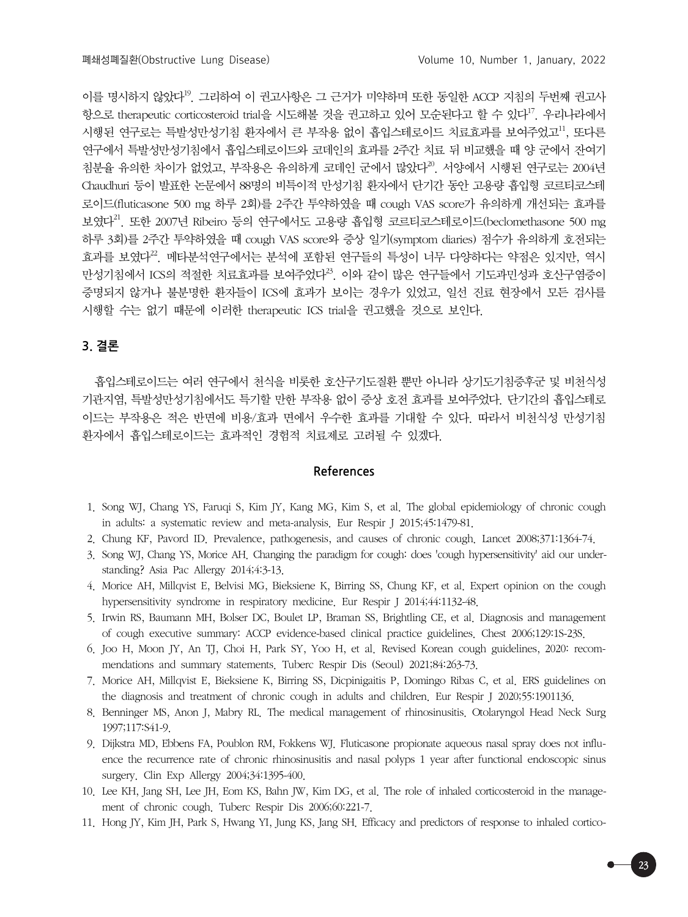이를 명시하지 않았다<sup>19</sup>. 그리하여 이 권고사항은 그 근거가 미약하며 또한 동일한 ACCP 지침의 두번째 권고사 항으로 therapeutic corticosteroid trial을 시도해볼 것을 권고하고 있어 모순된다고 할 수 있다<sup>17</sup>. 우리나라에서 시행된 연구로는 특발성만성기침 환자에서 큰 부작용 없이 흡입스테로이드 치료효과를 보여주었고<sup>11</sup>, 또다른 연구에서 특발성만성기침에서 흡입스테로이드와 코데인의 효과를 2주간 치료 뒤 비교했을 때 양 군에서 잔여기 침분율 유의한 차이가 없었고, 부작용은 유의하게 코데인 군에서 많았다<sup>20</sup>. 서양에서 시행된 연구로는 2004년 Chaudhuri 등이 발표한 논문에서 88명의 비특이적 만성기침 환자에서 단기간 동안 고용량 흡입형 코르티코스테 로이드(fluticasone 500 mg 하루 2회)를 2주간 투약하였을 때 cough VAS score가 유의하게 개선되는 효과를 보였다21. 또한 2007년 Ribeiro 등의 연구에서도 고용량 흡입형 코르티코스테로이드(beclomethasone 500 mg 하루 3회)를 2주간 투약하였을 때 cough VAS score와 증상 일기(symptom diaries) 점수가 유의하게 호전되는 효과를 보였다<sup>22</sup>. 메타분석연구에서는 분석에 포함된 연구들의 특성이 너무 다양하다는 약점은 있지만, 역시 만성기침에서 ICS의 적절한 치료효과를 보여주었다<sup>23</sup>. 이와 같이 많은 연구들에서 기도과민성과 호산구염증이 증명되지 않거나 불분명한 환자들이 ICS에 효과가 보이는 경우가 있었고, 일선 진료 현장에서 모든 검사를 시행할 수는 없기 때문에 이러한 therapeutic ICS trial을 권고했을 것으로 보인다.

# **3. 결론**

흡입스테로이드는 여러 연구에서 천식을 비롯한 호산구기도질환 뿐만 아니라 상기도기침증후군 및 비천식성 기관지염, 특발성만성기침에서도 특기할 만한 부작용 없이 증상 호전 효과를 보여주었다. 단기간의 흡입스테로 이드는 부작용은 적은 반면에 비용/효과 면에서 우수한 효과를 기대할 수 있다. 따라서 비천식성 만성기침 환자에서 흡입스테로이드는 효과적인 경험적 치료제로 고려될 수 있겠다.

## **References**

- 1. Song WJ, Chang YS, Faruqi S, Kim JY, Kang MG, Kim S, et al. The global epidemiology of chronic cough in adults: a systematic review and meta-analysis. Eur Respir J 2015;45:1479-81.
- 2. Chung KF, Pavord ID. Prevalence, pathogenesis, and causes of chronic cough. Lancet 2008;371:1364-74.
- 3. Song WJ, Chang YS, Morice AH. Changing the paradigm for cough: does 'cough hypersensitivity' aid our understanding? Asia Pac Allergy 2014;4:3-13.
- 4. Morice AH, Millqvist E, Belvisi MG, Bieksiene K, Birring SS, Chung KF, et al. Expert opinion on the cough hypersensitivity syndrome in respiratory medicine. Eur Respir J 2014;44:1132-48.
- 5. Irwin RS, Baumann MH, Bolser DC, Boulet LP, Braman SS, Brightling CE, et al. Diagnosis and management of cough executive summary: ACCP evidence-based clinical practice guidelines. Chest 2006;129:1S-23S.
- 6. Joo H, Moon JY, An TJ, Choi H, Park SY, Yoo H, et al. Revised Korean cough guidelines, 2020: recommendations and summary statements. Tuberc Respir Dis (Seoul) 2021;84:263-73.
- 7. Morice AH, Millqvist E, Bieksiene K, Birring SS, Dicpinigaitis P, Domingo Ribas C, et al. ERS guidelines on the diagnosis and treatment of chronic cough in adults and children. Eur Respir J 2020;55:1901136.
- 8. Benninger MS, Anon J, Mabry RL. The medical management of rhinosinusitis. Otolaryngol Head Neck Surg 1997;117:S41-9.
- 9. Dijkstra MD, Ebbens FA, Poublon RM, Fokkens WJ. Fluticasone propionate aqueous nasal spray does not influence the recurrence rate of chronic rhinosinusitis and nasal polyps 1 year after functional endoscopic sinus surgery. Clin Exp Allergy 2004;34:1395-400.
- 10. Lee KH, Jang SH, Lee JH, Eom KS, Bahn JW, Kim DG, et al. The role of inhaled corticosteroid in the management of chronic cough. Tuberc Respir Dis 2006;60:221-7.
- 11. Hong JY, Kim JH, Park S, Hwang YI, Jung KS, Jang SH. Efficacy and predictors of response to inhaled cortico-